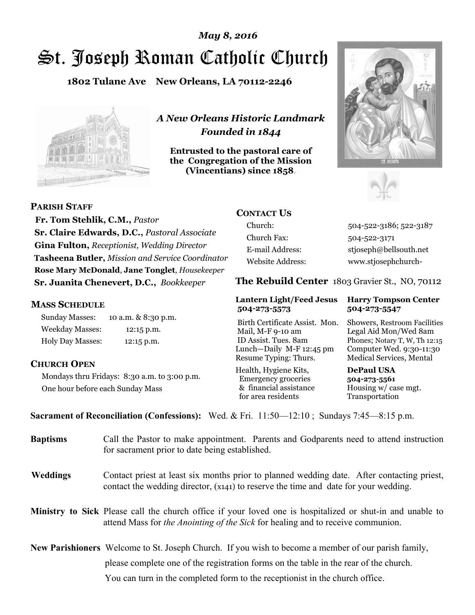# St. Joseph Roman Catholic Church *May 8, 2016*

**1802 Tulane Ave New Orleans, LA 70112-2246**



*A New Orleans Historic Landmark Founded in 1844* 

**Entrusted to the pastoral care of the Congregation of the Mission (Vincentians) since 1858**.





**PARISH STAFF**

 **Fr. Tom Stehlik, C.M.,** *Pastor* **Sr. Claire Edwards, D.C.,** *Pastoral Associate* **Gina Fulton,** *Receptionist, Wedding Director* **Tasheena Butler,** *Mission and Service Coordinator* **Rose Mary McDonald**, **Jane Tonglet**, *Housekeeper* **Sr. Juanita Chenevert, D.C.,** *Bookkeeper* 

# **MASS SCHEDULE**

Sunday Masses: 10 a.m. & 8:30 p.m. Weekday Masses: 12:15 p.m. Holy Day Masses: 12:15 p.m.

# **CHURCH OPEN**

Mondays thru Fridays: 8:30 a.m. to 3:00 p.m. One hour before each Sunday Mass

# **CONTACT US**

Church: 504-522-3186; 522-3187 Church Fax: 504-522-3171 E-mail Address: stjoseph@bellsouth.net Website Address: www.stjosephchurch-

**The Rebuild Center** 1803 Gravier St., NO, 70112

### **Lantern Light/Feed Jesus Harry Tompson Center 504-273-5573 504-273-5547**

Birth Certificate Assist. Mon. Showers, Restroom Facilities Mail, M-F 9-10 am Legal Aid Mon/Wed 8am ID Assist. Tues. 8am Phones; Notary T, W, Th 12:15 Lunch—Daily M-F 12:45 pm Computer Wed. 9:30-11:30 Resume Typing: Thurs. Medical Services, Mental

Health, Hygiene Kits, **DePaul USA**  Emergency groceries **504-273-5561** & financial assistance Housing w/ case mgt.<br>for area residents Transportation for area residents

**Sacrament of Reconciliation (Confessions):** Wed. & Fri. 11:50—12:10 ; Sundays 7:45—8:15 p.m.

| <b>Baptisms</b> | Call the Pastor to make appointment. Parents and Godparents need to attend instruction<br>for sacrament prior to date being established.                                                            |  |  |
|-----------------|-----------------------------------------------------------------------------------------------------------------------------------------------------------------------------------------------------|--|--|
| <b>Weddings</b> | Contact priest at least six months prior to planned wedding date. After contacting priest,<br>contact the wedding director, (x141) to reserve the time and date for your wedding.                   |  |  |
|                 | <b>Ministry to Sick</b> Please call the church office if your loved one is hospitalized or shut-in and unable to<br>attend Mass for the Anointing of the Sick for healing and to receive communion. |  |  |
|                 | <b>New Parishioners</b> Welcome to St. Joseph Church. If you wish to become a member of our parish family,                                                                                          |  |  |
|                 | please complete one of the registration forms on the table in the rear of the church.                                                                                                               |  |  |
|                 | You can turn in the completed form to the reception is the church office.                                                                                                                           |  |  |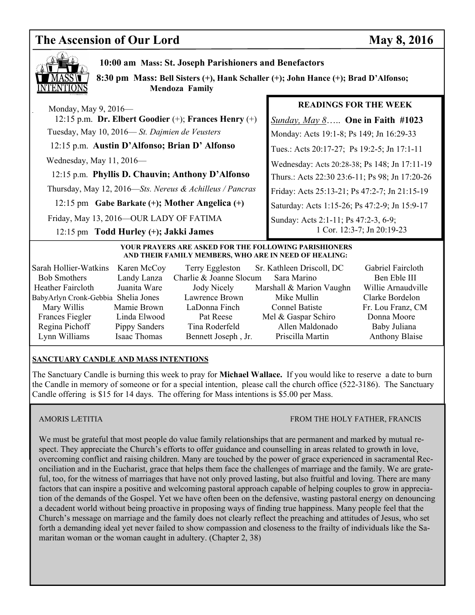# **The Ascension of Our Lord May 8, 2016**



 **10:00 am Mass: St. Joseph Parishioners and Benefactors** 

 **8:30 pm Mass: Bell Sisters (+), Hank Schaller (+); John Hance (+); Brad D'Alfonso; Mendoza Family**

 Monday, May 9, 2016— 12:15 p.m. **Dr. Elbert Goodier** (+); **Frances Henry** (+) Tuesday, May 10, 2016— *St. Dajmien de Veusters*

12:15 p.m. **Austin D'Alfonso; Brian D' Alfonso**

Wednesday, May 11, 2016—

 12:15 p.m. **Phyllis D. Chauvin; Anthony D'Alfonso** Thursday, May 12, 2016—*Sts. Nereus & Achilleus / Pancras*

12:15 pm **Gabe Barkate (+); Mother Angelica (+)**

Friday, May 13, 2016—OUR LADY OF FATIMA

# 12:15 pm **Todd Hurley (+); Jakki James**

# **READINGS FOR THE WEEK**

*Sunday, May 8*….. **One in Faith #1023** Monday: Acts 19:1-8; Ps 149; Jn 16:29-33 Tues.: Acts 20:17-27; Ps 19:2-5; Jn 17:1-11 Wednesday: Acts 20:28-38; Ps 148; Jn 17:11-19 Thurs.: Acts 22:30 23:6-11; Ps 98; Jn 17:20-26 Friday: Acts 25:13-21; Ps 47:2-7; Jn 21:15-19 Saturday: Acts 1:15-26; Ps 47:2-9; Jn 15:9-17 Sunday: Acts 2:1-11; Ps 47:2-3, 6-9; 1 Cor. 12:3-7; Jn 20:19-23

### **YOUR PRAYERS ARE ASKED FOR THE FOLLOWING PARISHIONERS AND THEIR FAMILY MEMBERS, WHO ARE IN NEED OF HEALING:**

| Sarah Hollier-Watkins               | Karen McCoy   | Terry Eggleston         | Sr. Kathleen Driscoll, DC | Gabriel Faircloth     |
|-------------------------------------|---------------|-------------------------|---------------------------|-----------------------|
| <b>Bob Smothers</b>                 | Landy Lanza   | Charlie & Joanne Slocum | Sara Marino               | Ben Eble III          |
| Heather Faircloth                   | Juanita Ware  | Jody Nicely             | Marshall & Marion Vaughn  | Willie Arnaudville    |
| BabyArlyn Cronk-Gebbia Shelia Jones |               | Lawrence Brown          | Mike Mullin               | Clarke Bordelon       |
| Mary Willis                         | Mamie Brown   | LaDonna Finch           | <b>Connel Batiste</b>     | Fr. Lou Franz, CM     |
| Frances Fiegler                     | Linda Elwood  | Pat Reese               | Mel & Gaspar Schiro       | Donna Moore           |
| Regina Pichoff                      | Pippy Sanders | Tina Roderfeld          | Allen Maldonado           | Baby Juliana          |
| Lynn Williams                       | Isaac Thomas  | Bennett Joseph, Jr.     | Priscilla Martin          | <b>Anthony Blaise</b> |

# **SANCTUARY CANDLE AND MASS INTENTIONS**

The Sanctuary Candle is burning this week to pray for **Michael Wallace.** If you would like to reserve a date to burn the Candle in memory of someone or for a special intention, please call the church office (522-3186). The Sanctuary Candle offering is \$15 for 14 days. The offering for Mass intentions is \$5.00 per Mass.

# AMORIS LÆTITIA FROM THE HOLY FATHER, FRANCIS

We must be grateful that most people do value family relationships that are permanent and marked by mutual respect. They appreciate the Church's efforts to offer guidance and counselling in areas related to growth in love, overcoming conflict and raising children. Many are touched by the power of grace experienced in sacramental Reconciliation and in the Eucharist, grace that helps them face the challenges of marriage and the family. We are grateful, too, for the witness of marriages that have not only proved lasting, but also fruitful and loving. There are many factors that can inspire a positive and welcoming pastoral approach capable of helping couples to grow in appreciation of the demands of the Gospel. Yet we have often been on the defensive, wasting pastoral energy on denouncing a decadent world without being proactive in proposing ways of finding true happiness. Many people feel that the Church's message on marriage and the family does not clearly reflect the preaching and attitudes of Jesus, who set forth a demanding ideal yet never failed to show compassion and closeness to the frailty of individuals like the Samaritan woman or the woman caught in adultery. (Chapter 2, 38)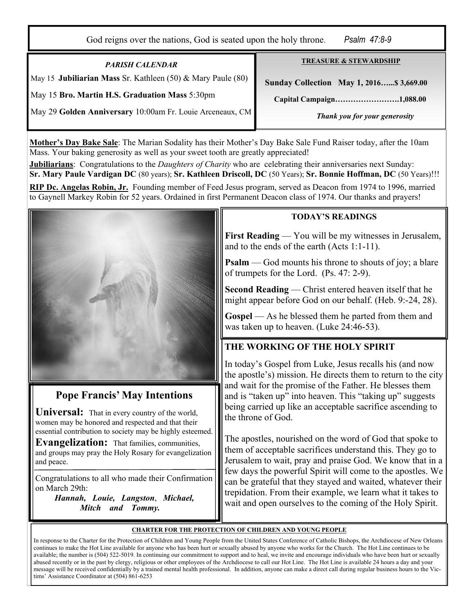God reigns over the nations, God is seated upon the holy throne. *Psalm 47:8-9* 

*PARISH CALENDAR*  May 15 **Jubiliarian Mass** Sr. Kathleen (50) & Mary Paule (80) May 15 **Bro. Martin H.S. Graduation Mass** 5:30pm

**TREASURE & STEWARDSHIP**

 **Sunday Collection May 1, 2016…...\$ 3,669.00** 

 **Capital Campaign…………………….1,088.00** 

May 29 **Golden Anniversary** 10:00am Fr. Louie Arceneaux, CM

*Thank you for your generosity* 

**Mother's Day Bake Sale**: The Marian Sodality has their Mother's Day Bake Sale Fund Raiser today, after the 10am Mass. Your baking generosity as well as your sweet tooth are greatly appreciated!

**Jubiliarians**: Congratulations to the *Daughters of Charity* who are celebrating their anniversaries next Sunday: **Sr. Mary Paule Vardigan DC** (80 years); **Sr. Kathleen Driscoll, DC** (50 Years); **Sr. Bonnie Hoffman, DC** (50 Years)!!!

**RIP Dc. Angelas Robin, Jr.** Founding member of Feed Jesus program, served as Deacon from 1974 to 1996, married to Gaynell Markey Robin for 52 years. Ordained in first Permanent Deacon class of 1974. Our thanks and prayers!



# **Pope Francis' May Intentions**

**Universal:** That in every country of the world, women may be honored and respected and that their essential contribution to society may be highly esteemed.

**Evangelization:** That families, communities, and groups may pray the Holy Rosary for evangelization and peace.

Congratulations to all who made their Confirmation on March 29th:

 *Hannah, Louie, Langston*, *Michael, Mitch and Tommy.*

# **TODAY'S READINGS**

**First Reading** — You will be my witnesses in Jerusalem, and to the ends of the earth (Acts 1:1-11).

**Psalm** — God mounts his throne to shouts of joy; a blare of trumpets for the Lord. (Ps. 47: 2-9).

**Second Reading** — Christ entered heaven itself that he might appear before God on our behalf. (Heb. 9:-24, 28).

**Gospel** — As he blessed them he parted from them and was taken up to heaven. (Luke 24:46-53).

# **THE WORKING OF THE HOLY SPIRIT**

In today's Gospel from Luke, Jesus recalls his (and now the apostle's) mission. He directs them to return to the city and wait for the promise of the Father. He blesses them and is "taken up" into heaven. This "taking up" suggests being carried up like an acceptable sacrifice ascending to the throne of God.

The apostles, nourished on the word of God that spoke to them of acceptable sacrifices understand this. They go to Jerusalem to wait, pray and praise God. We know that in a few days the powerful Spirit will come to the apostles. We can be grateful that they stayed and waited, whatever their trepidation. From their example, we learn what it takes to wait and open ourselves to the coming of the Holy Spirit.

# **CHARTER FOR THE PROTECTION OF CHILDREN AND YOUNG PEOPLE**

In response to the Charter for the Protection of Children and Young People from the United States Conference of Catholic Bishops, the Archdiocese of New Orleans continues to make the Hot Line available for anyone who has been hurt or sexually abused by anyone who works for the Church. The Hot Line continues to be available; the number is (504) 522-5019. In continuing our commitment to support and to heal, we invite and encourage individuals who have been hurt or sexually abused recently or in the past by clergy, religious or other employees of the Archdiocese to call our Hot Line. The Hot Line is available 24 hours a day and your message will be received confidentially by a trained mental health professional. In addition, anyone can make a direct call during regular business hours to the Victims' Assistance Coordinator at (504) 861-6253